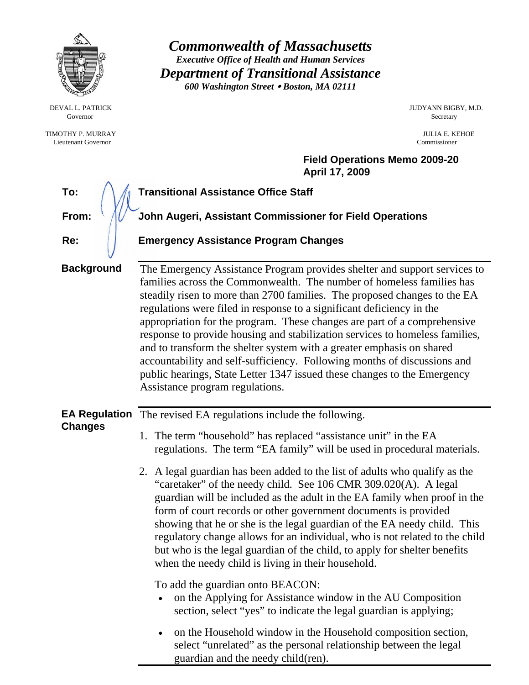|                                                 | <b>Commonwealth of Massachusetts</b><br><b>Executive Office of Health and Human Services</b><br><b>Department of Transitional Assistance</b><br>600 Washington Street . Boston, MA 02111                                                                                                                                                                                                                                                                                                                                                                                                                                                                                                                                                                                                                                                                                                                                                                                                                                                                                                                     |  |
|-------------------------------------------------|--------------------------------------------------------------------------------------------------------------------------------------------------------------------------------------------------------------------------------------------------------------------------------------------------------------------------------------------------------------------------------------------------------------------------------------------------------------------------------------------------------------------------------------------------------------------------------------------------------------------------------------------------------------------------------------------------------------------------------------------------------------------------------------------------------------------------------------------------------------------------------------------------------------------------------------------------------------------------------------------------------------------------------------------------------------------------------------------------------------|--|
| DEVAL L. PATRICK<br>Governor                    | JUDYANN BIGBY, M.D.<br>Secretary                                                                                                                                                                                                                                                                                                                                                                                                                                                                                                                                                                                                                                                                                                                                                                                                                                                                                                                                                                                                                                                                             |  |
| TIMOTHY P. MURRAY<br><b>Lieutenant Governor</b> | JULIA E. KEHOE<br>Commissioner                                                                                                                                                                                                                                                                                                                                                                                                                                                                                                                                                                                                                                                                                                                                                                                                                                                                                                                                                                                                                                                                               |  |
|                                                 | <b>Field Operations Memo 2009-20</b><br>April 17, 2009                                                                                                                                                                                                                                                                                                                                                                                                                                                                                                                                                                                                                                                                                                                                                                                                                                                                                                                                                                                                                                                       |  |
| To:                                             | <b>Transitional Assistance Office Staff</b>                                                                                                                                                                                                                                                                                                                                                                                                                                                                                                                                                                                                                                                                                                                                                                                                                                                                                                                                                                                                                                                                  |  |
| From:                                           | John Augeri, Assistant Commissioner for Field Operations                                                                                                                                                                                                                                                                                                                                                                                                                                                                                                                                                                                                                                                                                                                                                                                                                                                                                                                                                                                                                                                     |  |
| Re:                                             | <b>Emergency Assistance Program Changes</b>                                                                                                                                                                                                                                                                                                                                                                                                                                                                                                                                                                                                                                                                                                                                                                                                                                                                                                                                                                                                                                                                  |  |
| <b>Background</b>                               | The Emergency Assistance Program provides shelter and support services to<br>families across the Commonwealth. The number of homeless families has<br>steadily risen to more than 2700 families. The proposed changes to the EA<br>regulations were filed in response to a significant deficiency in the<br>appropriation for the program. These changes are part of a comprehensive<br>response to provide housing and stabilization services to homeless families,<br>and to transform the shelter system with a greater emphasis on shared<br>accountability and self-sufficiency. Following months of discussions and<br>public hearings, State Letter 1347 issued these changes to the Emergency<br>Assistance program regulations.                                                                                                                                                                                                                                                                                                                                                                     |  |
|                                                 | <b>EA Regulation</b> The revised EA regulations include the following.                                                                                                                                                                                                                                                                                                                                                                                                                                                                                                                                                                                                                                                                                                                                                                                                                                                                                                                                                                                                                                       |  |
| <b>Changes</b>                                  | 1. The term "household" has replaced "assistance unit" in the EA<br>regulations. The term "EA family" will be used in procedural materials.<br>2. A legal guardian has been added to the list of adults who qualify as the<br>"caretaker" of the needy child. See 106 CMR 309.020(A). A legal<br>guardian will be included as the adult in the EA family when proof in the<br>form of court records or other government documents is provided<br>showing that he or she is the legal guardian of the EA needy child. This<br>regulatory change allows for an individual, who is not related to the child<br>but who is the legal guardian of the child, to apply for shelter benefits<br>when the needy child is living in their household.<br>To add the guardian onto BEACON:<br>on the Applying for Assistance window in the AU Composition<br>section, select "yes" to indicate the legal guardian is applying;<br>on the Household window in the Household composition section,<br>$\bullet$<br>select "unrelated" as the personal relationship between the legal<br>guardian and the needy child(ren). |  |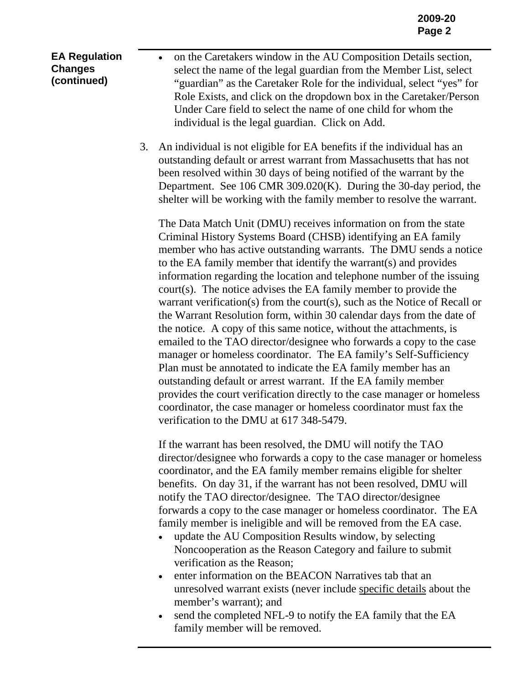**EA Regulation Changes (continued)** 

• on the Caretakers window in the AU Composition Details section, select the name of the legal guardian from the Member List, select "guardian" as the Caretaker Role for the individual, select "yes" for Role Exists, and click on the dropdown box in the Caretaker/Person Under Care field to select the name of one child for whom the individual is the legal guardian. Click on Add.

3. An individual is not eligible for EA benefits if the individual has an outstanding default or arrest warrant from Massachusetts that has not been resolved within 30 days of being notified of the warrant by the Department. See 106 CMR 309.020(K). During the 30-day period, the shelter will be working with the family member to resolve the warrant.

The Data Match Unit (DMU) receives information on from the state Criminal History Systems Board (CHSB) identifying an EA family member who has active outstanding warrants. The DMU sends a notice to the EA family member that identify the warrant(s) and provides information regarding the location and telephone number of the issuing court(s). The notice advises the EA family member to provide the warrant verification(s) from the court(s), such as the Notice of Recall or the Warrant Resolution form, within 30 calendar days from the date of the notice. A copy of this same notice, without the attachments, is emailed to the TAO director/designee who forwards a copy to the case manager or homeless coordinator. The EA family's Self-Sufficiency Plan must be annotated to indicate the EA family member has an outstanding default or arrest warrant. If the EA family member provides the court verification directly to the case manager or homeless coordinator, the case manager or homeless coordinator must fax the verification to the DMU at 617 348-5479.

If the warrant has been resolved, the DMU will notify the TAO director/designee who forwards a copy to the case manager or homeless coordinator, and the EA family member remains eligible for shelter benefits. On day 31, if the warrant has not been resolved, DMU will notify the TAO director/designee. The TAO director/designee forwards a copy to the case manager or homeless coordinator. The EA family member is ineligible and will be removed from the EA case.

- update the AU Composition Results window, by selecting Noncooperation as the Reason Category and failure to submit verification as the Reason;
- enter information on the BEACON Narratives tab that an unresolved warrant exists (never include specific details about the member's warrant); and
- send the completed NFL-9 to notify the EA family that the EA family member will be removed.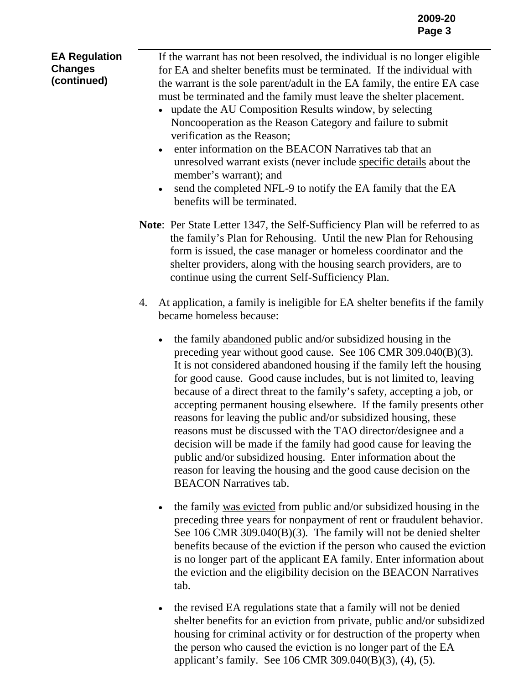| <b>EA Regulation</b><br><b>Changes</b><br>(continued) | If the warrant has not been resolved, the individual is no longer eligible<br>for EA and shelter benefits must be terminated. If the individual with<br>the warrant is the sole parent/adult in the EA family, the entire EA case<br>must be terminated and the family must leave the shelter placement.<br>update the AU Composition Results window, by selecting<br>Noncooperation as the Reason Category and failure to submit<br>verification as the Reason;<br>enter information on the BEACON Narratives tab that an<br>unresolved warrant exists (never include specific details about the<br>member's warrant); and<br>send the completed NFL-9 to notify the EA family that the EA<br>$\bullet$<br>benefits will be terminated. |
|-------------------------------------------------------|------------------------------------------------------------------------------------------------------------------------------------------------------------------------------------------------------------------------------------------------------------------------------------------------------------------------------------------------------------------------------------------------------------------------------------------------------------------------------------------------------------------------------------------------------------------------------------------------------------------------------------------------------------------------------------------------------------------------------------------|
|                                                       | Note: Per State Letter 1347, the Self-Sufficiency Plan will be referred to as<br>the family's Plan for Rehousing. Until the new Plan for Rehousing<br>form is issued, the case manager or homeless coordinator and the<br>shelter providers, along with the housing search providers, are to<br>continue using the current Self-Sufficiency Plan.                                                                                                                                                                                                                                                                                                                                                                                        |
|                                                       | At application, a family is ineligible for EA shelter benefits if the family<br>4.<br>became homeless because:                                                                                                                                                                                                                                                                                                                                                                                                                                                                                                                                                                                                                           |
|                                                       | the family abandoned public and/or subsidized housing in the<br>$\bullet$<br>preceding year without good cause. See 106 CMR 309.040(B)(3).<br>It is not considered abandoned housing if the family left the housing<br>for good cause. Good cause includes, but is not limited to, leaving<br>because of a direct threat to the family's safety, accepting a job, or<br>accepting permanent housing elsewhere. If the family presents other<br>reasons for leaving the public and/or subsidized housing, these<br>reasons must be discussed with the TAO director/designee and a<br>decision will be made if the family had good cause for leaving the<br>public and/or subsidized housing. Enter information about the                  |

BEACON Narratives tab.

• the family was evicted from public and/or subsidized housing in the preceding three years for nonpayment of rent or fraudulent behavior. See 106 CMR 309.040(B)(3)*.* The family will not be denied shelter benefits because of the eviction if the person who caused the eviction is no longer part of the applicant EA family. Enter information about the eviction and the eligibility decision on the BEACON Narratives tab.

reason for leaving the housing and the good cause decision on the

• the revised EA regulations state that a family will not be denied shelter benefits for an eviction from private, public and/or subsidized housing for criminal activity or for destruction of the property when the person who caused the eviction is no longer part of the EA applicant's family. See 106 CMR 309.040(B)(3), (4), (5)*.*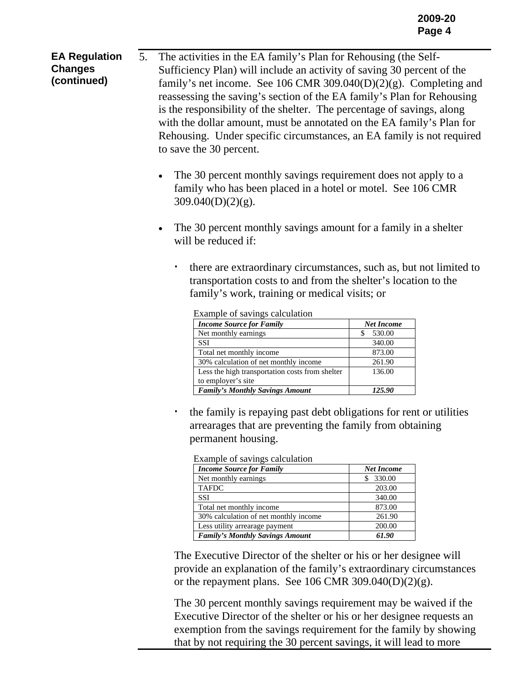**EA Regulation Changes (continued)**  5. The activities in the EA family's Plan for Rehousing (the Self-Sufficiency Plan) will include an activity of saving 30 percent of the family's net income. See 106 CMR 309.040(D)(2)(g). Completing and reassessing the saving's section of the EA family's Plan for Rehousing is the responsibility of the shelter. The percentage of savings, along with the dollar amount, must be annotated on the EA family's Plan for Rehousing. Under specific circumstances, an EA family is not required to save the 30 percent.

- The 30 percent monthly savings requirement does not apply to a family who has been placed in a hotel or motel. See 106 CMR 309.040(D)(2)(g).
- The 30 percent monthly savings amount for a family in a shelter will be reduced if:
	- there are extraordinary circumstances, such as, but not limited to transportation costs to and from the shelter's location to the family's work, training or medical visits; or

| <b>Income Source for Family</b>                 | <b>Net Income</b> |
|-------------------------------------------------|-------------------|
| Net monthly earnings                            | 530.00            |
| <b>SSI</b>                                      | 340.00            |
| Total net monthly income                        | 873.00            |
| 30% calculation of net monthly income           | 261.90            |
| Less the high transportation costs from shelter | 136.00            |
| to employer's site                              |                   |
| <b>Family's Monthly Savings Amount</b>          | 125.90            |

Example of savings calculation

 the family is repaying past debt obligations for rent or utilities arrearages that are preventing the family from obtaining permanent housing.

| <b>Income Source for Family</b>        | <b>Net Income</b> |
|----------------------------------------|-------------------|
| Net monthly earnings                   | 330.00            |
| <b>TAFDC</b>                           | 203.00            |
| <b>SSI</b>                             | 340.00            |
| Total net monthly income               | 873.00            |
| 30% calculation of net monthly income  | 261.90            |
| Less utility arrearage payment         | 200.00            |
| <b>Family's Monthly Savings Amount</b> | 61.90             |

| Example of savings calculation |  |  |
|--------------------------------|--|--|
|                                |  |  |

The Executive Director of the shelter or his or her designee will provide an explanation of the family's extraordinary circumstances or the repayment plans. See 106 CMR 309.040(D)(2)(g).

The 30 percent monthly savings requirement may be waived if the Executive Director of the shelter or his or her designee requests an exemption from the savings requirement for the family by showing that by not requiring the 30 percent savings, it will lead to more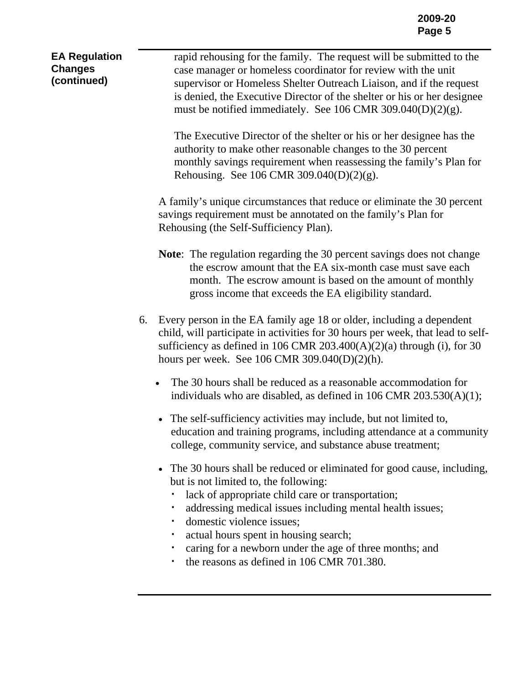| <b>EA Regulation</b><br><b>Changes</b><br>(continued) | rapid rehousing for the family. The request will be submitted to the<br>case manager or homeless coordinator for review with the unit<br>supervisor or Homeless Shelter Outreach Liaison, and if the request<br>is denied, the Executive Director of the shelter or his or her designee<br>must be notified immediately. See 106 CMR 309.040(D)(2)(g).<br>The Executive Director of the shelter or his or her designee has the<br>authority to make other reasonable changes to the 30 percent<br>monthly savings requirement when reassessing the family's Plan for<br>Rehousing. See 106 CMR 309.040(D)(2)(g).<br>A family's unique circumstances that reduce or eliminate the 30 percent<br>savings requirement must be annotated on the family's Plan for<br>Rehousing (the Self-Sufficiency Plan).<br><b>Note:</b> The regulation regarding the 30 percent savings does not change<br>the escrow amount that the EA six-month case must save each<br>month. The escrow amount is based on the amount of monthly                                                                                                                                          |
|-------------------------------------------------------|---------------------------------------------------------------------------------------------------------------------------------------------------------------------------------------------------------------------------------------------------------------------------------------------------------------------------------------------------------------------------------------------------------------------------------------------------------------------------------------------------------------------------------------------------------------------------------------------------------------------------------------------------------------------------------------------------------------------------------------------------------------------------------------------------------------------------------------------------------------------------------------------------------------------------------------------------------------------------------------------------------------------------------------------------------------------------------------------------------------------------------------------------------------|
|                                                       | gross income that exceeds the EA eligibility standard.<br>Every person in the EA family age 18 or older, including a dependent<br>6.<br>child, will participate in activities for 30 hours per week, that lead to self-<br>sufficiency as defined in 106 CMR 203.400(A)(2)(a) through (i), for 30<br>hours per week. See 106 CMR $309.040(D)(2)(h)$ .<br>The 30 hours shall be reduced as a reasonable accommodation for<br>$\bullet$<br>individuals who are disabled, as defined in $106$ CMR $203.530(A)(1)$ ;<br>• The self-sufficiency activities may include, but not limited to,<br>education and training programs, including attendance at a community<br>college, community service, and substance abuse treatment;<br>The 30 hours shall be reduced or eliminated for good cause, including,<br>$\bullet$<br>but is not limited to, the following:<br>lack of appropriate child care or transportation;<br>addressing medical issues including mental health issues;<br>domestic violence issues;<br>actual hours spent in housing search;<br>caring for a newborn under the age of three months; and<br>the reasons as defined in 106 CMR 701.380. |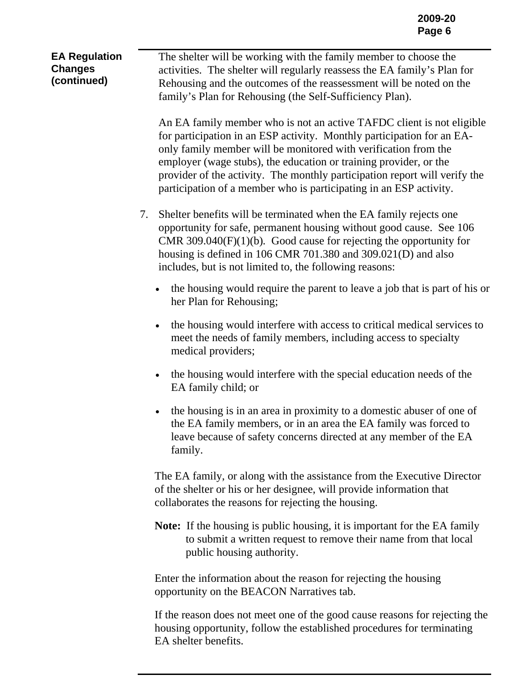**EA Regulation Changes (continued)**  The shelter will be working with the family member to choose the activities. The shelter will regularly reassess the EA family's Plan for Rehousing and the outcomes of the reassessment will be noted on the family's Plan for Rehousing (the Self-Sufficiency Plan).

> An EA family member who is not an active TAFDC client is not eligible for participation in an ESP activity. Monthly participation for an EAonly family member will be monitored with verification from the employer (wage stubs), the education or training provider, or the provider of the activity. The monthly participation report will verify the participation of a member who is participating in an ESP activity.

- 7. Shelter benefits will be terminated when the EA family rejects one opportunity for safe, permanent housing without good cause. See 106 CMR 309.040(F)(1)(b)*.* Good cause for rejecting the opportunity for housing is defined in 106 CMR 701.380 and 309.021(D) and also includes, but is not limited to, the following reasons:
	- the housing would require the parent to leave a job that is part of his or her Plan for Rehousing;
	- the housing would interfere with access to critical medical services to meet the needs of family members, including access to specialty medical providers;
	- the housing would interfere with the special education needs of the EA family child; or
	- the housing is in an area in proximity to a domestic abuser of one of the EA family members, or in an area the EA family was forced to leave because of safety concerns directed at any member of the EA family.

The EA family, or along with the assistance from the Executive Director of the shelter or his or her designee, will provide information that collaborates the reasons for rejecting the housing.

**Note:** If the housing is public housing, it is important for the EA family to submit a written request to remove their name from that local public housing authority.

Enter the information about the reason for rejecting the housing opportunity on the BEACON Narratives tab.

If the reason does not meet one of the good cause reasons for rejecting the housing opportunity, follow the established procedures for terminating EA shelter benefits.